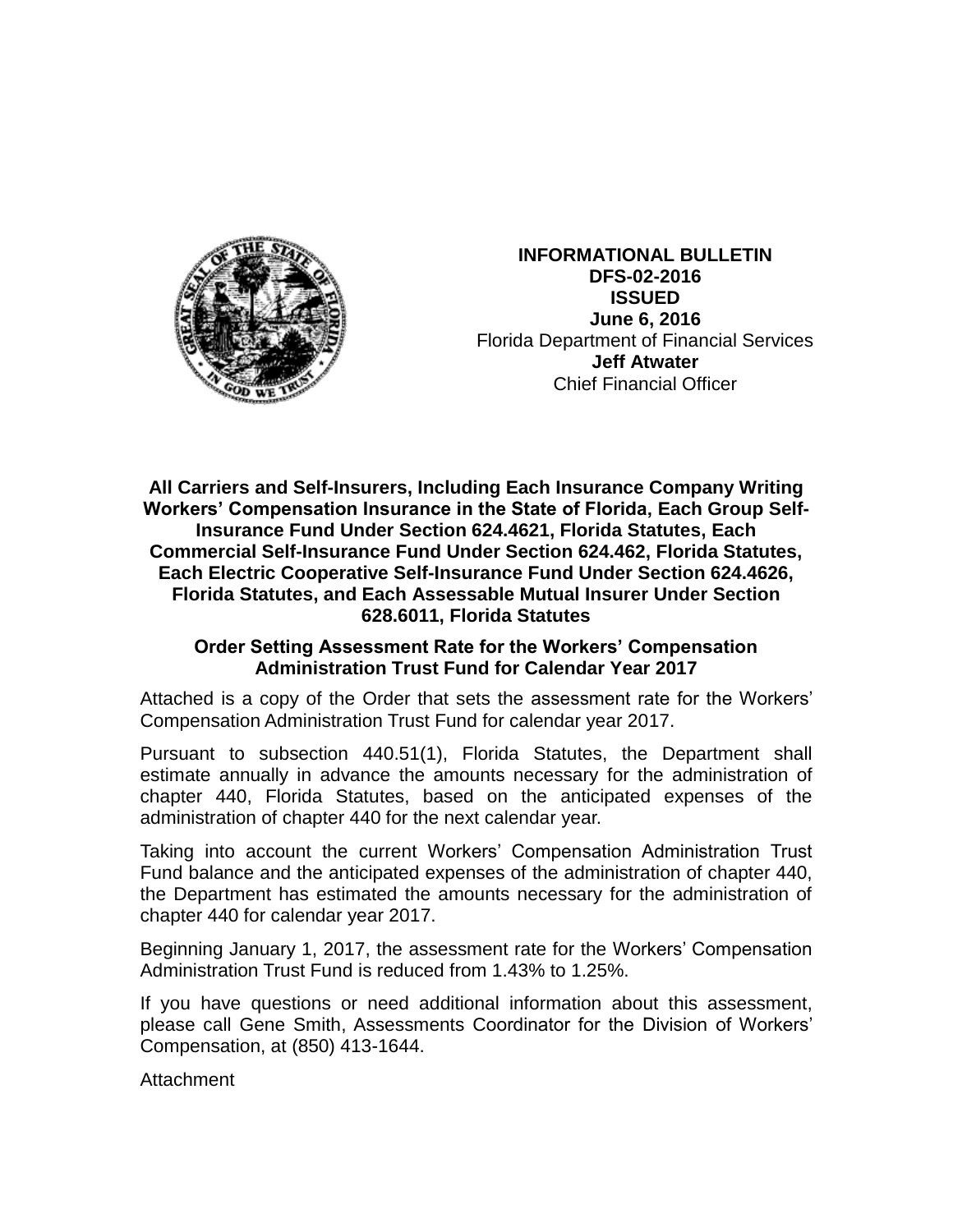

**INFORMATIONAL BULLETIN DFS-02-2016 ISSUED June 6, 2016** Florida Department of Financial Services **Jeff Atwater** Chief Financial Officer

**All Carriers and Self-Insurers, Including Each Insurance Company Writing Workers' Compensation Insurance in the State of Florida, Each Group Self-Insurance Fund Under Section 624.4621, Florida Statutes, Each Commercial Self-Insurance Fund Under Section 624.462, Florida Statutes, Each Electric Cooperative Self-Insurance Fund Under Section 624.4626, Florida Statutes, and Each Assessable Mutual Insurer Under Section 628.6011, Florida Statutes**

## **Order Setting Assessment Rate for the Workers' Compensation Administration Trust Fund for Calendar Year 2017**

Attached is a copy of the Order that sets the assessment rate for the Workers' Compensation Administration Trust Fund for calendar year 2017.

Pursuant to subsection 440.51(1), Florida Statutes, the Department shall estimate annually in advance the amounts necessary for the administration of chapter 440, Florida Statutes, based on the anticipated expenses of the administration of chapter 440 for the next calendar year.

Taking into account the current Workers' Compensation Administration Trust Fund balance and the anticipated expenses of the administration of chapter 440, the Department has estimated the amounts necessary for the administration of chapter 440 for calendar year 2017.

Beginning January 1, 2017, the assessment rate for the Workers' Compensation Administration Trust Fund is reduced from 1.43% to 1.25%.

If you have questions or need additional information about this assessment, please call Gene Smith, Assessments Coordinator for the Division of Workers' Compensation, at (850) 413-1644.

Attachment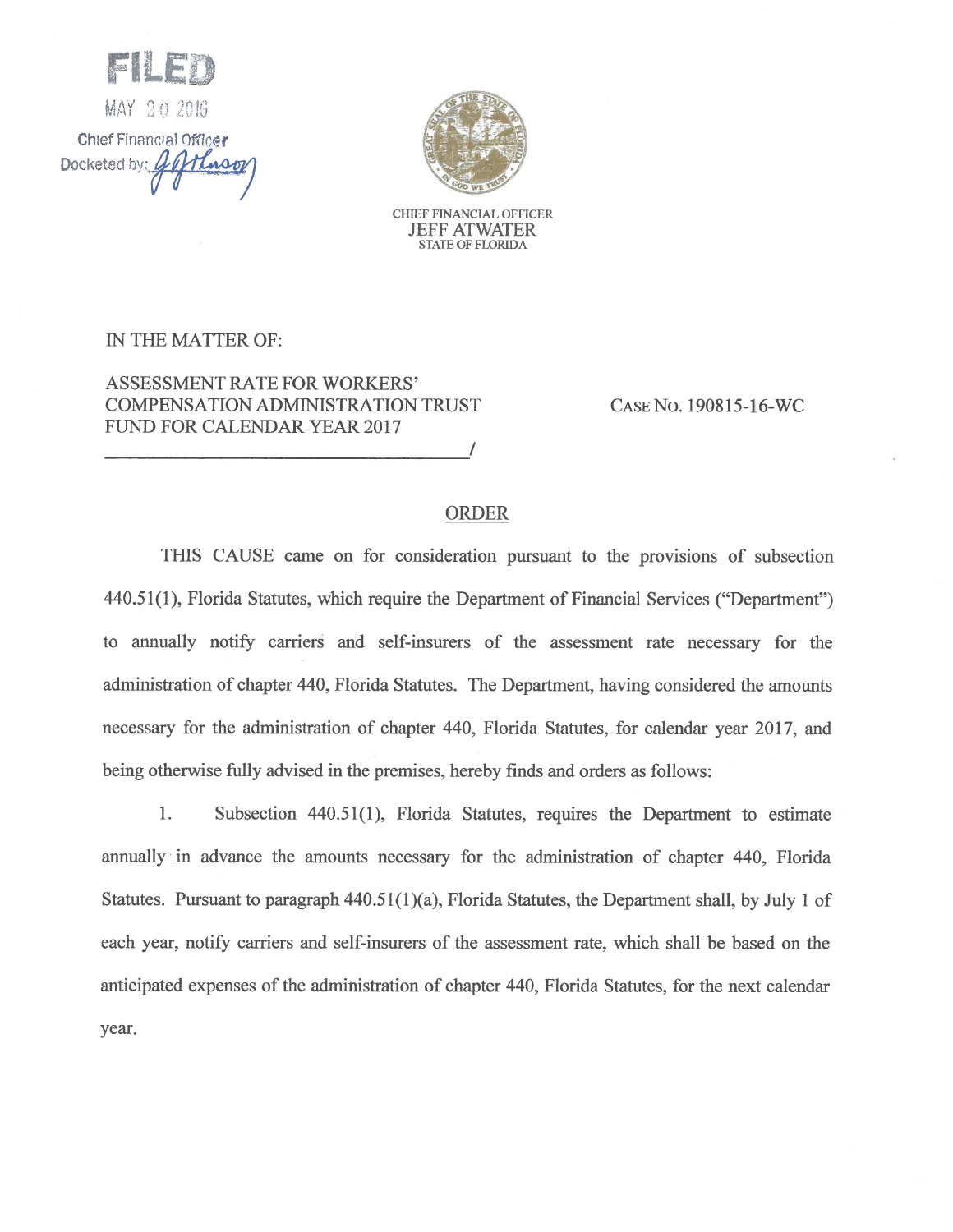MAY 20 2016 Chief Financial Officer Docketed by: Minso



CHIEF FINANCIAL OFFICER **JEFF ATWATER STATE OF FLORIDA** 

## IN THE MATTER OF:

**ASSESSMENT RATE FOR WORKERS' COMPENSATION ADMINISTRATION TRUST** FUND FOR CALENDAR YEAR 2017

CASE No. 190815-16-WC

## **ORDER**

THIS CAUSE came on for consideration pursuant to the provisions of subsection 440.51(1), Florida Statutes, which require the Department of Financial Services ("Department") to annually notify carriers and self-insurers of the assessment rate necessary for the administration of chapter 440, Florida Statutes. The Department, having considered the amounts necessary for the administration of chapter 440, Florida Statutes, for calendar year 2017, and being otherwise fully advised in the premises, hereby finds and orders as follows:

1. Subsection 440.51(1), Florida Statutes, requires the Department to estimate annually in advance the amounts necessary for the administration of chapter 440, Florida Statutes. Pursuant to paragraph  $440.51(1)(a)$ , Florida Statutes, the Department shall, by July 1 of each year, notify carriers and self-insurers of the assessment rate, which shall be based on the anticipated expenses of the administration of chapter 440, Florida Statutes, for the next calendar year.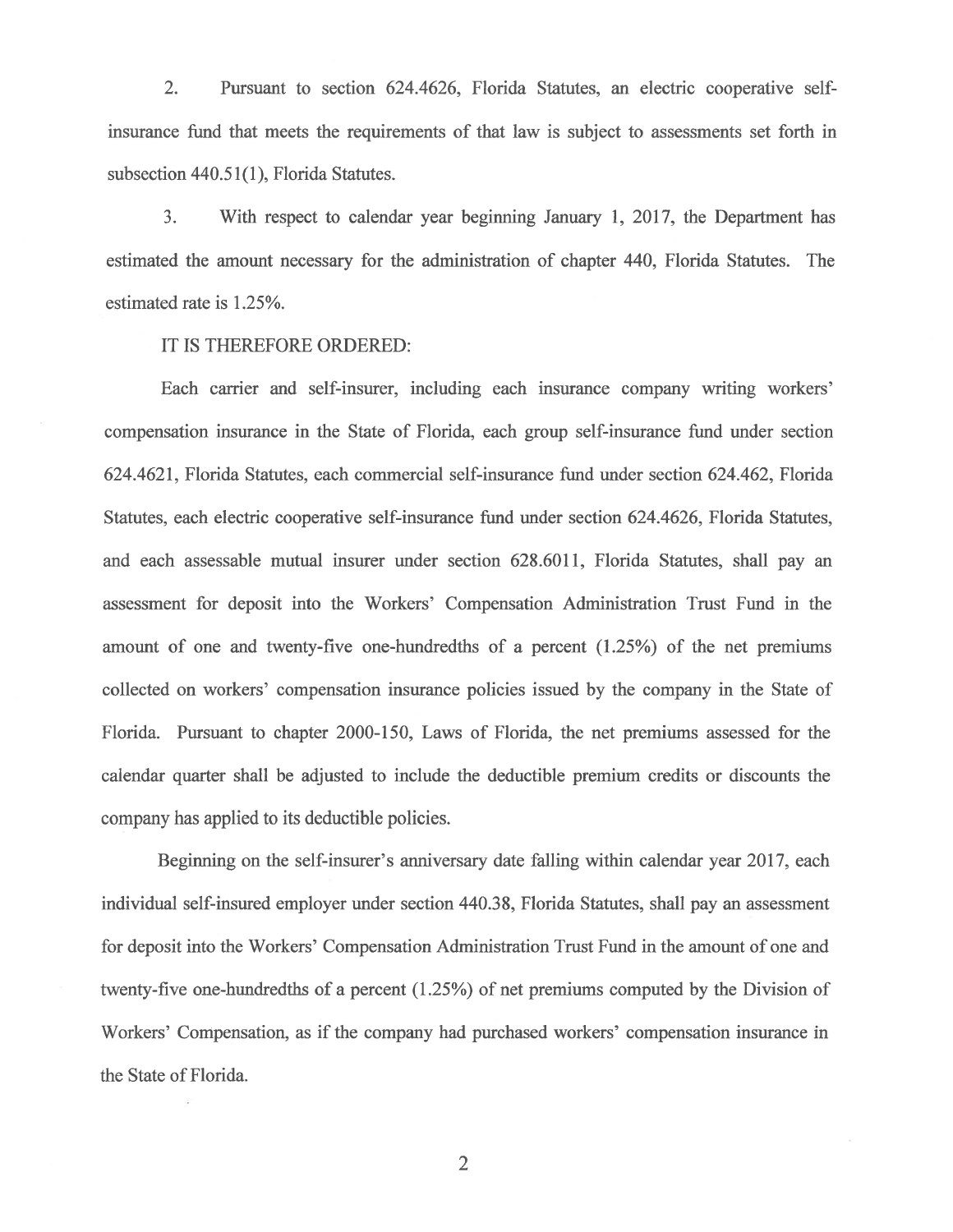$2.$ Pursuant to section 624.4626, Florida Statutes, an electric cooperative selfinsurance fund that meets the requirements of that law is subject to assessments set forth in subsection 440.51(1), Florida Statutes.

 $3.$ With respect to calendar year beginning January 1, 2017, the Department has estimated the amount necessary for the administration of chapter 440, Florida Statutes. The estimated rate is 1.25%.

IT IS THEREFORE ORDERED:

Each carrier and self-insurer, including each insurance company writing workers' compensation insurance in the State of Florida, each group self-insurance fund under section 624.4621, Florida Statutes, each commercial self-insurance fund under section 624.462, Florida Statutes, each electric cooperative self-insurance fund under section 624.4626, Florida Statutes, and each assessable mutual insurer under section 628.6011, Florida Statutes, shall pay an assessment for deposit into the Workers' Compensation Administration Trust Fund in the amount of one and twenty-five one-hundredths of a percent (1.25%) of the net premiums collected on workers' compensation insurance policies issued by the company in the State of Florida. Pursuant to chapter 2000-150, Laws of Florida, the net premiums assessed for the calendar quarter shall be adjusted to include the deductible premium credits or discounts the company has applied to its deductible policies.

Beginning on the self-insurer's anniversary date falling within calendar year 2017, each individual self-insured employer under section 440.38, Florida Statutes, shall pay an assessment for deposit into the Workers' Compensation Administration Trust Fund in the amount of one and twenty-five one-hundredths of a percent (1.25%) of net premiums computed by the Division of Workers' Compensation, as if the company had purchased workers' compensation insurance in the State of Florida.

 $\overline{2}$